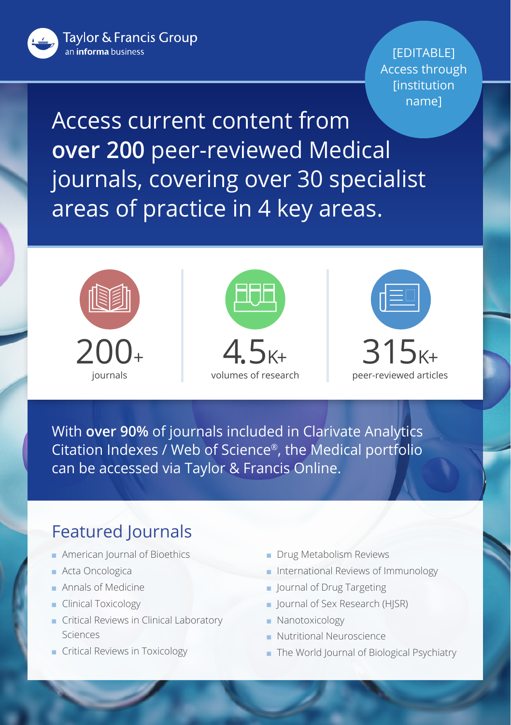Taylor & Francis Group an *informa* business

[EDITABLE] Access through **[institution** name]

Access current content from **over 200** peer-reviewed Medical journals, covering over 30 specialist areas of practice in 4 key areas.







With **over 90%** of journals included in Clarivate Analytics Citation Indexes / Web of Science®, the Medical portfolio can be accessed via Taylor & Francis Online.

## Featured Journals

- **n** American Journal of Bioethics
- Acta Oncologica
- **n** Annals of Medicine
- **Clinical Toxicology**
- **n** Critical Reviews in Clinical Laboratory Sciences
- **n** Critical Reviews in Toxicology
- **n** Drug Metabolism Reviews
- n International Reviews of Immunology
- **n** Journal of Drug Targeting
- **n** Journal of Sex Research (HJSR)
- **Nanotoxicology**
- **Nutritional Neuroscience**
- n The World Journal of Biological Psychiatry